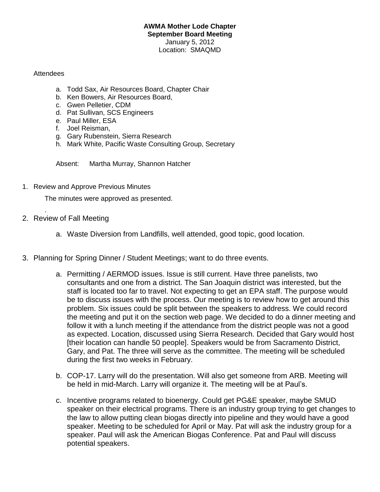## **AWMA Mother Lode Chapter September Board Meeting** January 5, 2012 Location: SMAQMD

## Attendees

- a. Todd Sax, Air Resources Board, Chapter Chair
- b. Ken Bowers, Air Resources Board,
- c. Gwen Pelletier, CDM
- d. Pat Sullivan, SCS Engineers
- e. Paul Miller, ESA
- f. Joel Reisman,
- g. Gary Rubenstein, Sierra Research
- h. Mark White, Pacific Waste Consulting Group, Secretary

Absent: Martha Murray, Shannon Hatcher

1. Review and Approve Previous Minutes

The minutes were approved as presented.

2. Review of Fall Meeting

.

- a. Waste Diversion from Landfills, well attended, good topic, good location.
- 3. Planning for Spring Dinner / Student Meetings; want to do three events.
	- a. Permitting / AERMOD issues. Issue is still current. Have three panelists, two consultants and one from a district. The San Joaquin district was interested, but the staff is located too far to travel. Not expecting to get an EPA staff. The purpose would be to discuss issues with the process. Our meeting is to review how to get around this problem. Six issues could be split between the speakers to address. We could record the meeting and put it on the section web page. We decided to do a dinner meeting and follow it with a lunch meeting if the attendance from the district people was not a good as expected. Location, discussed using Sierra Research. Decided that Gary would host [their location can handle 50 people]. Speakers would be from Sacramento District, Gary, and Pat. The three will serve as the committee. The meeting will be scheduled during the first two weeks in February.
	- b. COP-17. Larry will do the presentation. Will also get someone from ARB. Meeting will be held in mid-March. Larry will organize it. The meeting will be at Paul's.
	- c. Incentive programs related to bioenergy. Could get PG&E speaker, maybe SMUD speaker on their electrical programs. There is an industry group trying to get changes to the law to allow putting clean biogas directly into pipeline and they would have a good speaker. Meeting to be scheduled for April or May. Pat will ask the industry group for a speaker. Paul will ask the American Biogas Conference. Pat and Paul will discuss potential speakers.